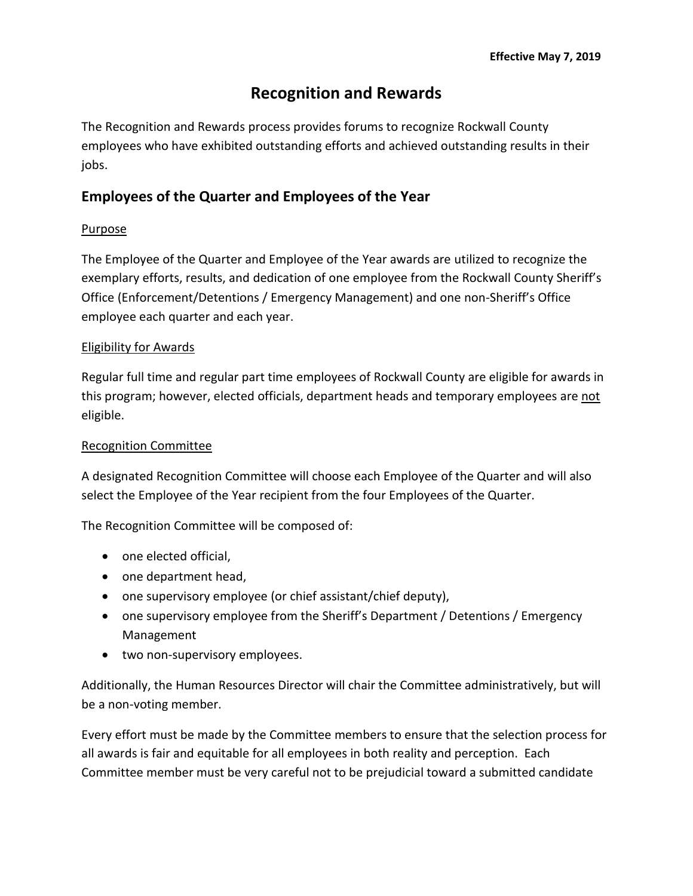# **Recognition and Rewards**

The Recognition and Rewards process provides forums to recognize Rockwall County employees who have exhibited outstanding efforts and achieved outstanding results in their jobs.

# **Employees of the Quarter and Employees of the Year**

#### Purpose

The Employee of the Quarter and Employee of the Year awards are utilized to recognize the exemplary efforts, results, and dedication of one employee from the Rockwall County Sheriff's Office (Enforcement/Detentions / Emergency Management) and one non-Sheriff's Office employee each quarter and each year.

#### Eligibility for Awards

Regular full time and regular part time employees of Rockwall County are eligible for awards in this program; however, elected officials, department heads and temporary employees are not eligible.

#### Recognition Committee

A designated Recognition Committee will choose each Employee of the Quarter and will also select the Employee of the Year recipient from the four Employees of the Quarter.

The Recognition Committee will be composed of:

- one elected official,
- one department head,
- one supervisory employee (or chief assistant/chief deputy),
- one supervisory employee from the Sheriff's Department / Detentions / Emergency Management
- two non-supervisory employees.

Additionally, the Human Resources Director will chair the Committee administratively, but will be a non-voting member.

Every effort must be made by the Committee members to ensure that the selection process for all awards is fair and equitable for all employees in both reality and perception. Each Committee member must be very careful not to be prejudicial toward a submitted candidate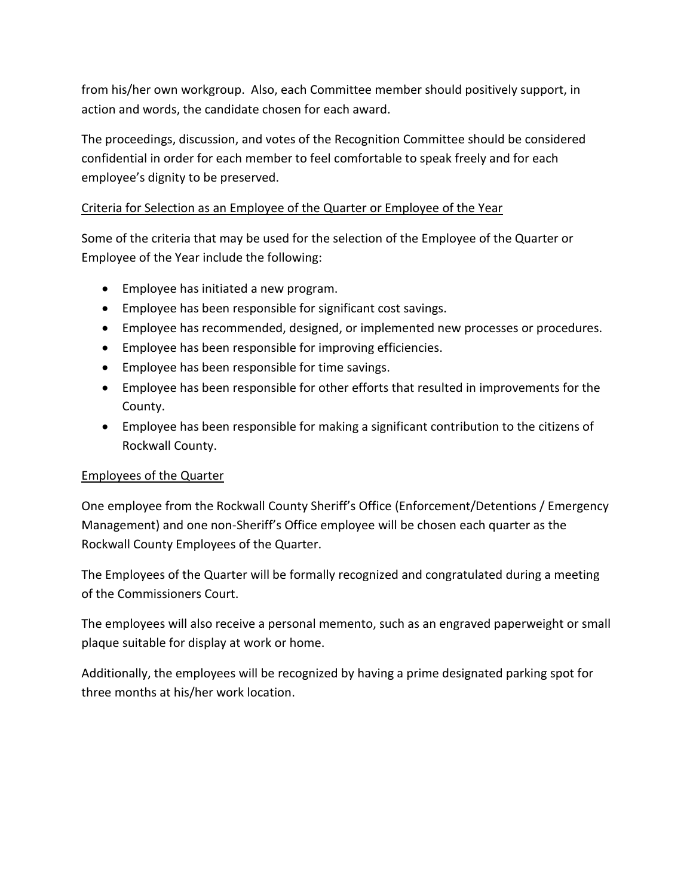from his/her own workgroup. Also, each Committee member should positively support, in action and words, the candidate chosen for each award.

The proceedings, discussion, and votes of the Recognition Committee should be considered confidential in order for each member to feel comfortable to speak freely and for each employee's dignity to be preserved.

# Criteria for Selection as an Employee of the Quarter or Employee of the Year

Some of the criteria that may be used for the selection of the Employee of the Quarter or Employee of the Year include the following:

- Employee has initiated a new program.
- Employee has been responsible for significant cost savings.
- Employee has recommended, designed, or implemented new processes or procedures.
- Employee has been responsible for improving efficiencies.
- Employee has been responsible for time savings.
- Employee has been responsible for other efforts that resulted in improvements for the County.
- Employee has been responsible for making a significant contribution to the citizens of Rockwall County.

#### Employees of the Quarter

One employee from the Rockwall County Sheriff's Office (Enforcement/Detentions / Emergency Management) and one non-Sheriff's Office employee will be chosen each quarter as the Rockwall County Employees of the Quarter.

The Employees of the Quarter will be formally recognized and congratulated during a meeting of the Commissioners Court.

The employees will also receive a personal memento, such as an engraved paperweight or small plaque suitable for display at work or home.

Additionally, the employees will be recognized by having a prime designated parking spot for three months at his/her work location.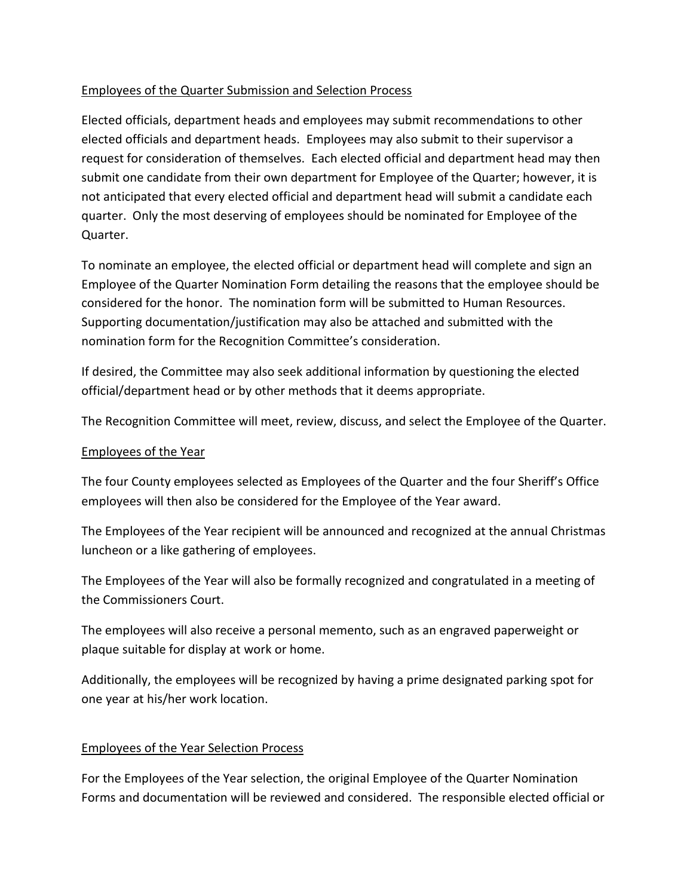## Employees of the Quarter Submission and Selection Process

Elected officials, department heads and employees may submit recommendations to other elected officials and department heads. Employees may also submit to their supervisor a request for consideration of themselves. Each elected official and department head may then submit one candidate from their own department for Employee of the Quarter; however, it is not anticipated that every elected official and department head will submit a candidate each quarter. Only the most deserving of employees should be nominated for Employee of the Quarter.

To nominate an employee, the elected official or department head will complete and sign an Employee of the Quarter Nomination Form detailing the reasons that the employee should be considered for the honor. The nomination form will be submitted to Human Resources. Supporting documentation/justification may also be attached and submitted with the nomination form for the Recognition Committee's consideration.

If desired, the Committee may also seek additional information by questioning the elected official/department head or by other methods that it deems appropriate.

The Recognition Committee will meet, review, discuss, and select the Employee of the Quarter.

## Employees of the Year

The four County employees selected as Employees of the Quarter and the four Sheriff's Office employees will then also be considered for the Employee of the Year award.

The Employees of the Year recipient will be announced and recognized at the annual Christmas luncheon or a like gathering of employees.

The Employees of the Year will also be formally recognized and congratulated in a meeting of the Commissioners Court.

The employees will also receive a personal memento, such as an engraved paperweight or plaque suitable for display at work or home.

Additionally, the employees will be recognized by having a prime designated parking spot for one year at his/her work location.

## Employees of the Year Selection Process

For the Employees of the Year selection, the original Employee of the Quarter Nomination Forms and documentation will be reviewed and considered. The responsible elected official or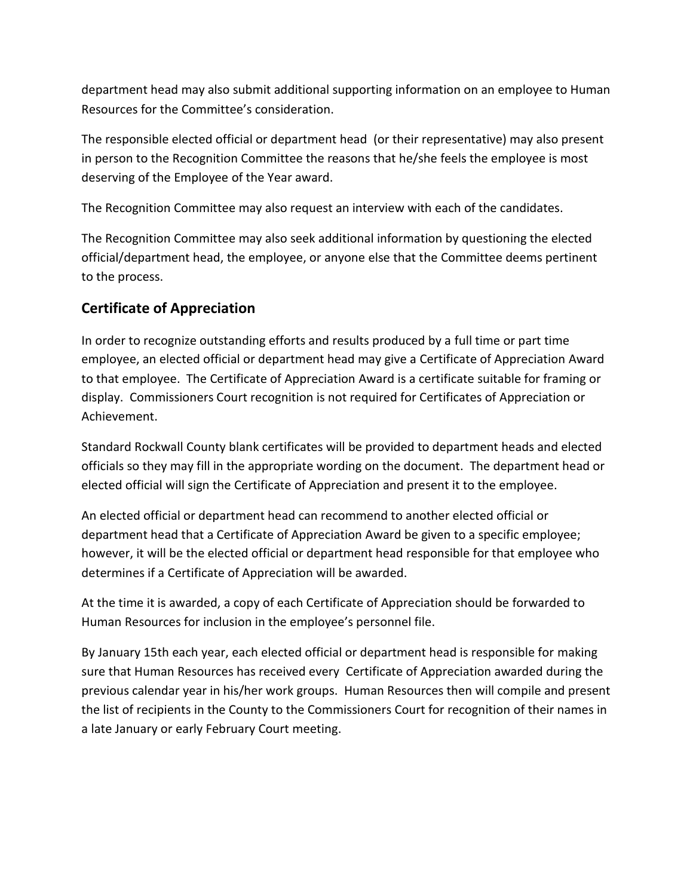department head may also submit additional supporting information on an employee to Human Resources for the Committee's consideration.

The responsible elected official or department head (or their representative) may also present in person to the Recognition Committee the reasons that he/she feels the employee is most deserving of the Employee of the Year award.

The Recognition Committee may also request an interview with each of the candidates.

The Recognition Committee may also seek additional information by questioning the elected official/department head, the employee, or anyone else that the Committee deems pertinent to the process.

# **Certificate of Appreciation**

In order to recognize outstanding efforts and results produced by a full time or part time employee, an elected official or department head may give a Certificate of Appreciation Award to that employee. The Certificate of Appreciation Award is a certificate suitable for framing or display. Commissioners Court recognition is not required for Certificates of Appreciation or Achievement.

Standard Rockwall County blank certificates will be provided to department heads and elected officials so they may fill in the appropriate wording on the document. The department head or elected official will sign the Certificate of Appreciation and present it to the employee.

An elected official or department head can recommend to another elected official or department head that a Certificate of Appreciation Award be given to a specific employee; however, it will be the elected official or department head responsible for that employee who determines if a Certificate of Appreciation will be awarded.

At the time it is awarded, a copy of each Certificate of Appreciation should be forwarded to Human Resources for inclusion in the employee's personnel file.

By January 15th each year, each elected official or department head is responsible for making sure that Human Resources has received every Certificate of Appreciation awarded during the previous calendar year in his/her work groups. Human Resources then will compile and present the list of recipients in the County to the Commissioners Court for recognition of their names in a late January or early February Court meeting.